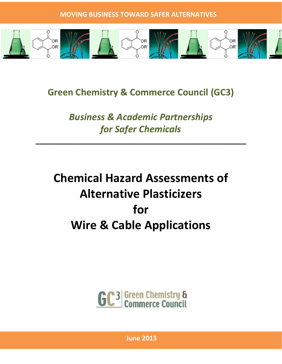

**Green Chemistry & Commerce Council (GC3)** 

*Business & Academic Partnerships for Safer Chemicals*

**\_\_\_\_\_\_\_\_\_\_\_\_\_\_\_\_\_\_\_\_\_\_\_\_\_\_\_\_\_\_\_\_\_\_\_\_\_\_\_\_\_\_\_\_\_\_\_\_\_\_\_**

**Chemical Hazard Assessments of Alternative Plasticizers for Wire & Cable Applications**



**June 2013**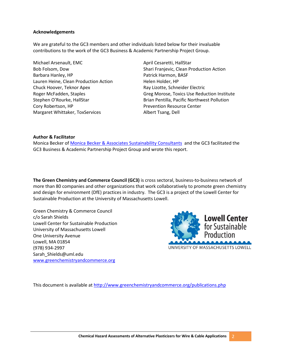## **Acknowledgements**

We are grateful to the GC3 members and other individuals listed below for their invaluable contributions to the work of the GC3 Business & Academic Partnership Project Group.

Michael Arsenault, EMC April Cesaretti, HallStar Barbara Hanley, HP **Patrick Harmon, BASF** Lauren Heine, Clean Production Action Helen Holder, HP Chuck Hoover, Teknor Apex **Ray Lizotte, Schneider Electric** Stephen O'Rourke, HallStar Cory Robertson, HP Margaret Whittaker, ToxServices

Bob Folsom, Dow Shari Franjevic, Clean Production Action Roger McFadden, Staples Greg Morose, Toxics Use Reduction Institute Brian Pentilla, Pacific Northwest Pollution Prevention Resource Center Albert Tsang, Dell

## **Author & Facilitator**

Monica Becker o[f Monica Becker & Associates Sustainability Consultants](http://www.monicabecker.com/) and the GC3 facilitated the GC3 Business & Academic Partnership Project Group and wrote this report.

**The Green Chemistry and Commerce Council (GC3)** is cross sectoral, business-to-business network of more than 80 companies and other organizations that work collaboratively to promote green chemistry and design for environment (DfE) practices in industry. The GC3 is a project of the Lowell Center for Sustainable Production at the University of Massachusetts Lowell.

Green Chemistry & Commerce Council c/o Sarah Shields Lowell Center for Sustainable Production University of Massachusetts Lowell One University Avenue Lowell, MA 01854 (978) 934-2997 Sarah\_Shields@uml.edu [www.greenchemistryandcommerce.org](http://www.greenchemistryandcommerce.org/)



UNIVERSITY OF MASSACHUSETTS LOWELL

This document is available a[t http://www.greenchemistryandcommerce.org/publications.php](http://www.greenchemistryandcommerce.org/publications.php)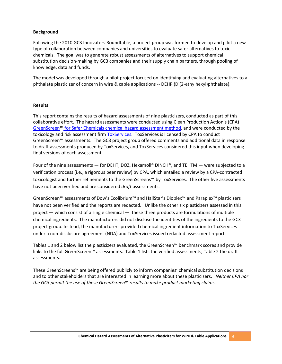# **Background**

Following the 2010 GC3 Innovators Roundtable, a project group was formed to develop and pilot a new type of collaboration between companies and universities to evaluate safer alternatives to toxic chemicals. The goal was to generate robust assessments of alternatives to support chemical substitution decision-making by GC3 companies and their supply chain partners, through pooling of knowledge, data and funds.

The model was developed through a pilot project focused on identifying and evaluating alternatives to a phthalate plasticizer of concern in wire & cable applications -- DEHP (Di(2-ethylhexyl)phthalate).

#### **Results**

This report contains the results of hazard assessments of nine plasticizers, conducted as part of this collaborative effort. The hazard assessments were conducted using Clean Production Action's (CPA) GreenScreen™ [for Safer Chemicals chemical hazard assessment method,](http://www.cleanproduction.org/Greenscreen.php) and were conducted by the toxicology and risk assessment firm [ToxServices.](http://www.toxservices.com/) ToxServices is licensed by CPA to conduct GreenScreen™ assessments. The GC3 project group offered comments and additional data in response to draft assessments produced by ToxServices, and ToxServices considered this input when developing final versions of each assessment.

Four of the nine assessments — for DEHT, DOZ, Hexamoll® DINCH®, and TEHTM — were subjected to a verification process (i.e., a rigorous peer review) by CPA, which entailed a review by a CPA-contracted toxicologist and further refinements to the GreenScreens™ by ToxServices. The other five assessments have not been verified and are considered *draft* assessments.

GreenScreen™ assessments of Dow's Ecolibrium™ and HallStar's Dioplex™ and Paraplex™ plasticizers have not been verified and the reports are redacted. Unlike the other six plasticizers assessed in this project — which consist of a single chemical — these three products are formulations of multiple chemical ingredients. The manufacturers did not disclose the identities of the ingredients to the GC3 project group. Instead, the manufacturers provided chemical ingredient information to ToxServices under a non-disclosure agreement (NDA) and ToxServices issued redacted assessment reports.

Tables 1 and 2 below list the plasticizers evaluated, the GreenScreen™ benchmark scores and provide links to the full GreenScreen™ assessments. Table 1 lists the verified assessments; Table 2 the draft assessments.

These GreenScreens™ are being offered publicly to inform companies' chemical substitution decisions and to other stakeholders that are interested in learning more about these plasticizers. *Neither CPA nor the GC3 permit the use of these GreenScreen*™ *results to make product marketing claims.*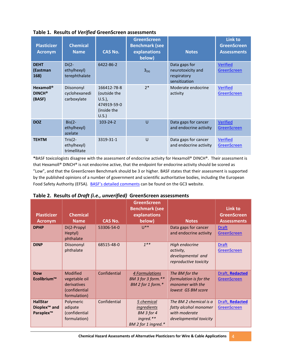| <b>Plasticizer</b><br><b>Acronym</b> | <b>Chemical</b><br><b>Name</b>             | <b>CAS No.</b>                                                                 | <b>GreenScreen</b><br><b>Benchmark (see</b><br>explanations<br>below) | <b>Notes</b>                                                       | <b>Link to</b><br><b>GreenScreen</b><br><b>Assessments</b> |
|--------------------------------------|--------------------------------------------|--------------------------------------------------------------------------------|-----------------------------------------------------------------------|--------------------------------------------------------------------|------------------------------------------------------------|
| <b>DEHT</b><br>(Eastman<br>168)      | $Di(2-$<br>ethylhexyl)<br>terephthalate    | 6422-86-2                                                                      | 3 <sub>DG</sub>                                                       | Data gaps for<br>neurotoxicity and<br>respiratory<br>sensitization | <b>Verified</b><br><b>GreenScreen</b>                      |
| Hexamoll®<br><b>DINCH®</b><br>(BASF) | Diisononyl<br>cyclohexanedi<br>carboxylate | 166412-78-8<br>(outside the<br>$U.S.$ ),<br>474919-59-0<br>(inside the<br>U.S. | $7*$                                                                  | Moderate endocrine<br>activity                                     | <b>Verified</b><br><b>GreenScreen</b>                      |
| <b>DOZ</b>                           | $Bis(2-)$<br>ethylhexyl)<br>azelate        | $103 - 24 - 2$                                                                 | U                                                                     | Data gaps for cancer<br>and endocrine activity                     | <b>Verified</b><br><b>GreenScreen</b>                      |
| <b>TEHTM</b>                         | Tris $(2 -$<br>ethylhexyl)<br>trimellitate | 3319-31-1                                                                      | $\cup$                                                                | Data gaps for cancer<br>and endocrine activity                     | <b>Verified</b><br><b>GreenScreen</b>                      |

**Table 1. Results of** *Verified* **GreenScreen assessments**

**\***BASF toxicologists disagree with the assessment of endocrine activity for Hexamoll® DINCH®. Their assessment is that Hexamoll® DINCH® is not endocrine active, that the endpoint for endocrine activity should be scored as "Low", and that the GreenScreen Benchmark should be 3 or higher. BASF states that their assessment is supported by the published opinions of a number of government and scientific authoritative bodies, including the European Food Safety Authority (EFSA). [BASF's detailed comments](http://www.greenchemistryandcommerce.org/documents/BASFcommentsonfinalGreenScreenassessmentofHexamollDINCH.pdf) can be found on the GC3 website.

|  |  |  | Table 2. Results of Draft (i.e., unverified) GreenScreen assessments |
|--|--|--|----------------------------------------------------------------------|
|--|--|--|----------------------------------------------------------------------|

| <b>Plasticizer</b><br><b>Acronym</b>                                 | <b>Chemical</b><br><b>Name</b>                                                   | <b>CAS No.</b> | <b>GreenScreen</b><br><b>Benchmark (see</b><br>explanations<br>below)              | <b>Notes</b>                                                                               | Link to<br><b>GreenScreen</b><br><b>Assessments</b> |
|----------------------------------------------------------------------|----------------------------------------------------------------------------------|----------------|------------------------------------------------------------------------------------|--------------------------------------------------------------------------------------------|-----------------------------------------------------|
| <b>DPHP</b>                                                          | Di(2-Propyl<br>Heptyl)<br>phthalate                                              | 53306-54-0     | $U^{**}$                                                                           | Data gaps for cancer<br>and endocrine activity                                             | <b>Draft</b><br><b>GreenScreen</b>                  |
| <b>DINP</b>                                                          | Diisononyl<br>phthalate                                                          | 68515-48-0     | $1***$                                                                             | High endocrine<br>activity,<br>developmental and<br>reproductive toxicity                  | <b>Draft</b><br><b>GreenScreen</b>                  |
| <b>Dow</b><br>Ecolibrium™                                            | <b>Modified</b><br>vegetable oil<br>derivatives<br>(confidential<br>formulation) | Confidential   | 4 Formulations<br>BM 3 for 3 form.**<br>BM 2 for 1 form.*                          | The BM for the<br>formulation is for the<br>monomer with the<br>lowest GS BM score         | Draft, Redacted<br><b>GreenScreen</b>               |
| <b>HallStar</b><br>Dioplex <sup>™</sup> and<br>Paraplex <sup>™</sup> | Polymeric<br>adipate<br>(confidential<br>formulation)                            | Confidential   | 5 chemical<br><i>ingredients</i><br>BM 3 for 4<br>ingred.**<br>BM 2 for 1 ingred.* | The BM 2 chemical is a<br>fatty alcohol monomer<br>with moderate<br>developmental toxicity | Draft, Redacted<br>GreenScreen                      |